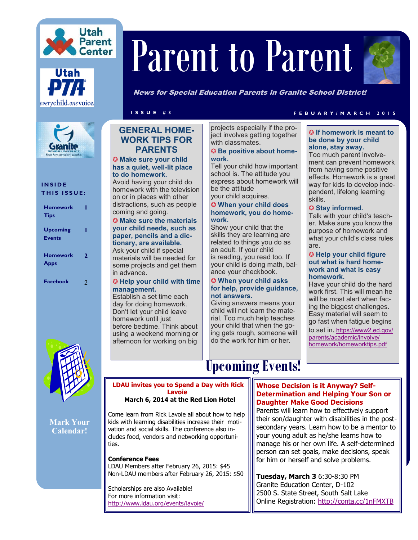





## **I N S I D E THIS ISSUE:**

| <b>Homework</b><br><b>Tips</b> |   |
|--------------------------------|---|
| Upcoming<br><b>Events</b>      |   |
| <b>Homework</b><br><b>Apps</b> | 2 |
| <b>Facebook</b>                | 2 |



**Mark Your Calendar!**

# Parent to Parent



News for Special Education Parents in Granite School District!

## **GENERAL HOME-WORK TIPS FOR PARENTS**

✪ **Make sure your child has a quiet, well-lit place to do homework.**

Avoid having your child do homework with the television on or in places with other distractions, such as people coming and going.

#### ✪ **Make sure the materials your child needs, such as paper, pencils and a dictionary, are available.**

Ask your child if special materials will be needed for some projects and get them in advance.

#### ✪ **Help your child with time management.**

Establish a set time each day for doing homework. Don't let your child leave homework until just before bedtime. Think about using a weekend morning or afternoon for working on big

projects especially if the project involves getting together with classmates.

#### ✪ **Be positive about homework.**

Tell your child how important school is. The attitude you express about homework will be the attitude your child acquires.

# ✪ **When your child does**

# **homework, you do homework.**

Show your child that the skills they are learning are related to things you do as an adult. If your child is reading, you read too. If your child is doing math, balance your checkbook.

#### ✪ **When your child asks for help, provide guidance, not answers.**

Giving answers means your child will not learn the material. Too much help teaches your child that when the going gets rough, someone will do the work for him or her.

# **I S S U E # 3 F E B U A R Y / M A R C H 2 0 1 5**

#### ✪ **If homework is meant to be done by your child alone, stay away.**

Too much parent involvement can prevent homework from having some positive effects. Homework is a great way for kids to develop independent, lifelong learning skills.

### ✪ **Stay informed.**

Talk with your child's teacher. Make sure you know the purpose of homework and what your child's class rules are.

#### ✪ **Help your child figure out what is hard homework and what is easy homework.**

Have your child do the hard work first. This will mean he will be most alert when facing the biggest challenges. Easy material will seem to go fast when fatigue begins

to set in. [https://www2.ed.gov/](https://www2.ed.gov/parents/academic/involve/homework/homeworktips.pdfC:/Users/Administrator/Documents/Custom%20Office%20Templates) [parents/academic/involve/](https://www2.ed.gov/parents/academic/involve/homework/homeworktips.pdfC:/Users/Administrator/Documents/Custom%20Office%20Templates) [homework/homeworktips.pdf](https://www2.ed.gov/parents/academic/involve/homework/homeworktips.pdfC:/Users/Administrator/Documents/Custom%20Office%20Templates)

# **Upcoming Events!**

#### **Whose Decision is it Anyway? Self-Determination and Helping Your Son or Daughter Make Good Decisions**

Parents will learn how to effectively support their son/daughter with disabilities in the postsecondary years. Learn how to be a mentor to your young adult as he/she learns how to manage his or her own life. A self-determined person can set goals, make decisions, speak for him or herself and solve problems.

**Tuesday, March 3** 6:30-8:30 PM Granite Education Center, D-102 2500 S. State Street, South Salt Lake Online Registration: <http://conta.cc/1nFMXTB>

 **March 6, 2014 at the Red Lion Hotel** Come learn from Rick Lavoie all about how to help kids with learning disabilities increase their motivation and social skills. The conference also in-

**LDAU invites you to Spend a Day with Rick Lavoie**

**Conference Fees**

ties.

LDAU Members after February 26, 2015: \$45 Non-LDAU members after February 26, 2015: \$50

cludes food, vendors and networking opportuni-

Scholarships are also Available! For more information visit: <http://www.ldau.org/events/lavoie/>